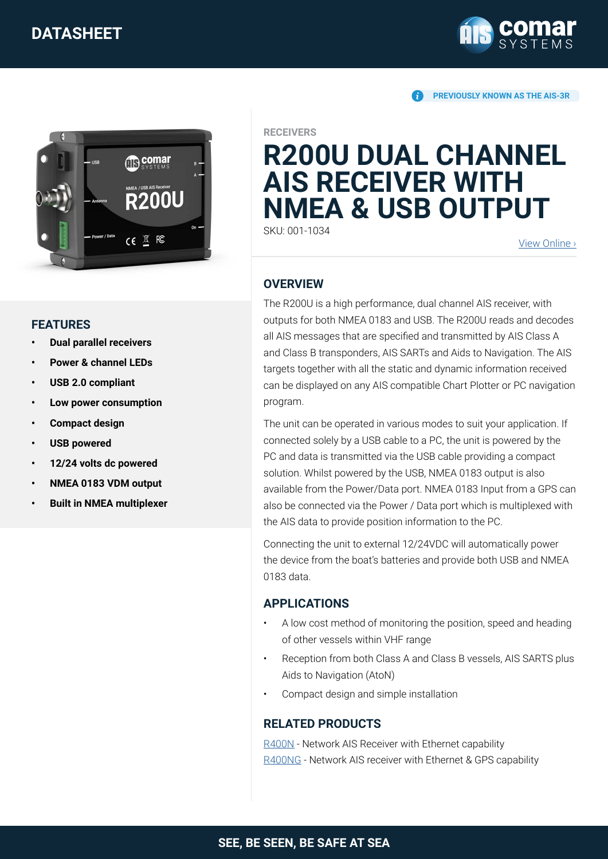# **DATASHEET**



**PREVIOUSLY KNOWN AS THE AIS-3R**



#### **RECEIVERS**

# **R200U DUAL CHANNEL AIS RECEIVER WITH NMEA & USB OUTPUT**

SKU: 001-1034

[View Online](https://comarsystems.com/product/r200u-dual-channel-ais-receiver/) ›

# **OVERVIEW**

The R200U is a high performance, dual channel AIS receiver, with outputs for both NMEA 0183 and USB. The R200U reads and decodes all AIS messages that are specified and transmitted by AIS Class A and Class B transponders, AIS SARTs and Aids to Navigation. The AIS targets together with all the static and dynamic information received can be displayed on any AIS compatible Chart Plotter or PC navigation program.

The unit can be operated in various modes to suit your application. If connected solely by a USB cable to a PC, the unit is powered by the PC and data is transmitted via the USB cable providing a compact solution. Whilst powered by the USB, NMEA 0183 output is also available from the Power/Data port. NMEA 0183 Input from a GPS can also be connected via the Power / Data port which is multiplexed with the AIS data to provide position information to the PC.

Connecting the unit to external 12/24VDC will automatically power the device from the boat's batteries and provide both USB and NMEA 0183 data.

## **APPLICATIONS**

- A low cost method of monitoring the position, speed and heading of other vessels within VHF range
- Reception from both Class A and Class B vessels, AIS SARTS plus Aids to Navigation (AtoN)
- Compact design and simple installation

## **RELATED PRODUCTS**

[R400N](https://comarsystems.com/product/network-ais-receiver-for-coastal-monitoring-applications/) - Network AIS Receiver with Ethernet capability [R400NG](https://comarsystems.com/product/r400ng-network-ais-receiver/) - Network AIS receiver with Ethernet & GPS capability

### **FEATURES**

- **• Dual parallel receivers**
- **• Power & channel LEDs**
- **• USB 2.0 compliant**
- **• Low power consumption**
- **• Compact design**
- **• USB powered**
- **• 12/24 volts dc powered**
- **• NMEA 0183 VDM output**
- **• Built in NMEA multiplexer**